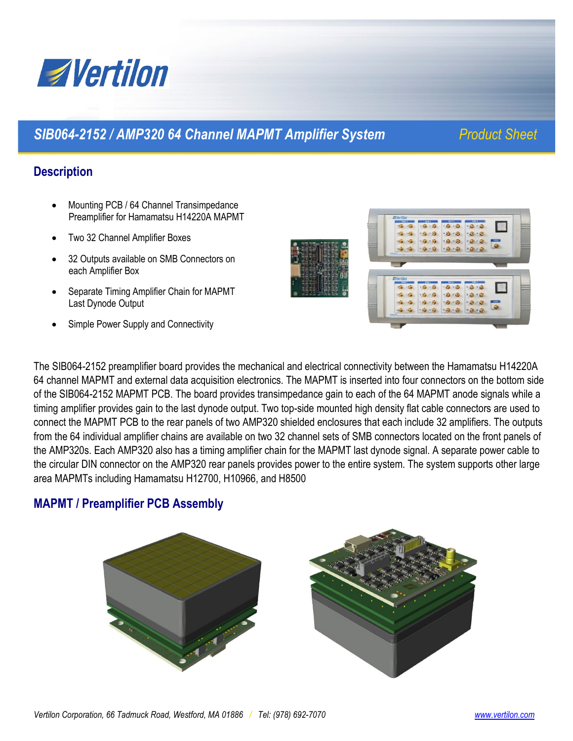

# *SIB064-2152 / AMP320 64 Channel MAPMT Amplifier System Product Sheet*

## **Description**

- Mounting PCB / 64 Channel Transimpedance Preamplifier for Hamamatsu H14220A MAPMT
- Two 32 Channel Amplifier Boxes
- 32 Outputs available on SMB Connectors on each Amplifier Box
- Separate Timing Amplifier Chain for MAPMT Last Dynode Output
- Simple Power Supply and Connectivity



The SIB064-2152 preamplifier board provides the mechanical and electrical connectivity between the Hamamatsu H14220A 64 channel MAPMT and external data acquisition electronics. The MAPMT is inserted into four connectors on the bottom side of the SIB064-2152 MAPMT PCB. The board provides transimpedance gain to each of the 64 MAPMT anode signals while a timing amplifier provides gain to the last dynode output. Two top-side mounted high density flat cable connectors are used to connect the MAPMT PCB to the rear panels of two AMP320 shielded enclosures that each include 32 amplifiers. The outputs from the 64 individual amplifier chains are available on two 32 channel sets of SMB connectors located on the front panels of the AMP320s. Each AMP320 also has a timing amplifier chain for the MAPMT last dynode signal. A separate power cable to the circular DIN connector on the AMP320 rear panels provides power to the entire system. The system supports other large area MAPMTs including Hamamatsu H12700, H10966, and H8500

## **MAPMT / Preamplifier PCB Assembly**